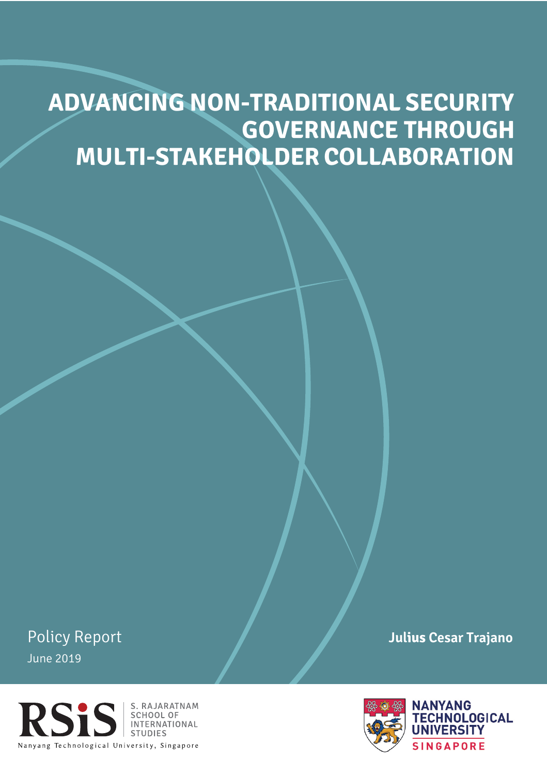# **GOVERNANCE THROUGH MULTI-STAKEHOLDER COLLABORATION ADVANCING NON-TRADITIONAL SECURITY**

Policy Report June 2019



**Julius Cesar Trajano**

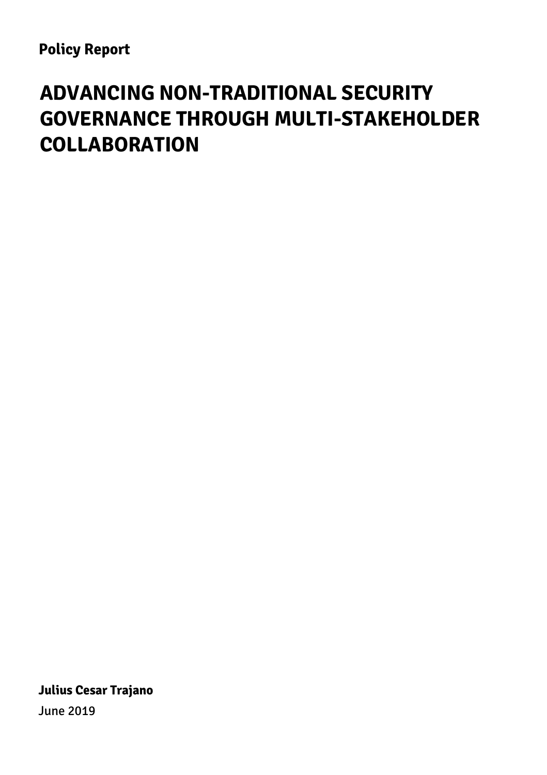## **ADVANCING NON-TRADITIONAL SECURITY GOVERNANCE THROUGH MULTI-STAKEHOLDER COLLABORATION**

**Julius Cesar Trajano**  June 2019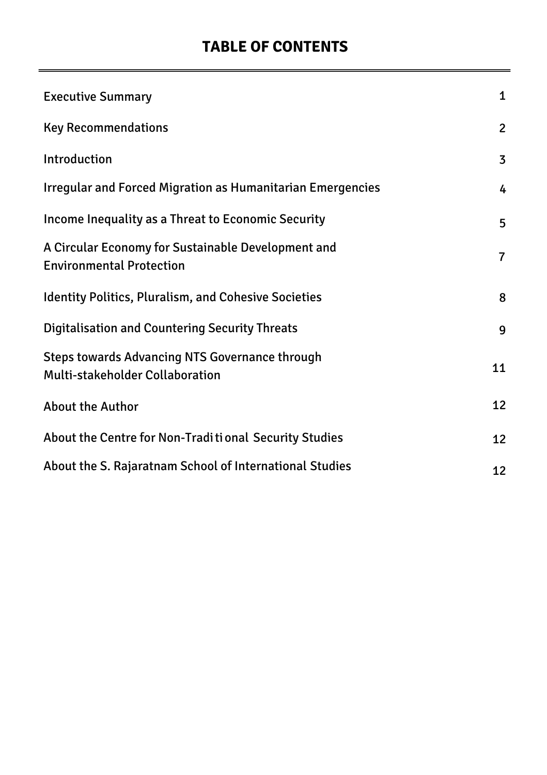### **TABLE OF CONTENTS**

| <b>Executive Summary</b>                                                                 | 1              |
|------------------------------------------------------------------------------------------|----------------|
| <b>Key Recommendations</b>                                                               | $\overline{2}$ |
| Introduction                                                                             | 3              |
| <b>Irregular and Forced Migration as Humanitarian Emergencies</b>                        | 4              |
| Income Inequality as a Threat to Economic Security                                       | 5              |
| A Circular Economy for Sustainable Development and<br><b>Environmental Protection</b>    | $\overline{7}$ |
| <b>Identity Politics, Pluralism, and Cohesive Societies</b>                              | 8              |
| <b>Digitalisation and Countering Security Threats</b>                                    | 9              |
| <b>Steps towards Advancing NTS Governance through</b><br>Multi-stakeholder Collaboration | 11             |
| <b>About the Author</b>                                                                  | 12             |
| About the Centre for Non-Traditional Security Studies                                    | 12             |
| About the S. Rajaratnam School of International Studies                                  | 12             |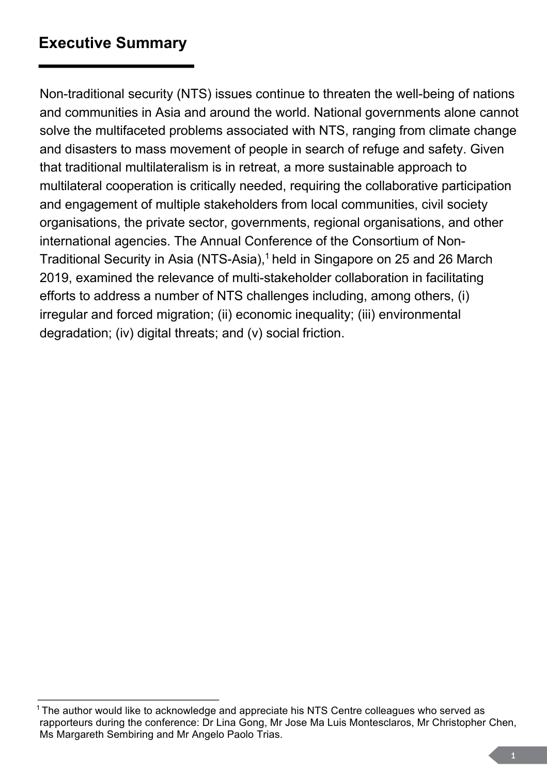### <span id="page-3-0"></span>**Executive Summary**

Non-traditional security (NTS) issues continue to threaten the well-being of nations and communities in Asia and around the world. National governments alone cannot solve the multifaceted problems associated with NTS, ranging from climate change and disasters to mass movement of people in search of refuge and safety. Given that traditional multilateralism is in retreat, a more sustainable approach to multilateral cooperation is critically needed, requiring the collaborative participation and engagement of multiple stakeholders from local communities, civil society organisations, the private sector, governments, regional organisations, and other international agencies. The Annual Conference of the Consortium of Non-Traditional Security in Asia (NTS-Asia),<sup>1</sup> held in Singapore on 25 and 26 March 2019, examined the relevance of multi-stakeholder collaboration in facilitating efforts to address a number of NTS challenges including, among others, (i) irregular and forced migration; (ii) economic inequality; (iii) environmental degradation; (iv) digital threats; and (v) social friction.

 $1$ The author would like to acknowledge and appreciate his NTS Centre colleagues who served as rapporteurs during the conference: Dr Lina Gong, Mr Jose Ma Luis Montesclaros, Mr Christopher Chen, Ms Margareth Sembiring and Mr Angelo Paolo Trias.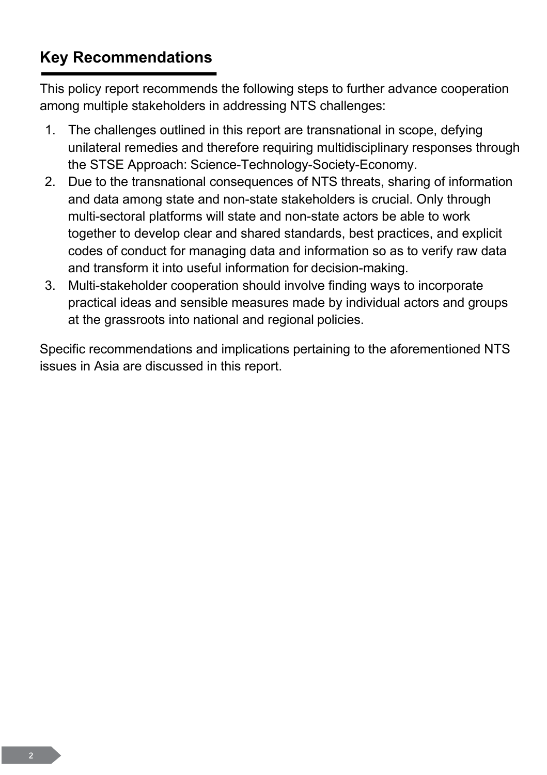## **Key Recommendations**

This policy report recommends the following steps to further advance cooperation among multiple stakeholders in addressing NTS challenges:

- 1. The challenges outlined in this report are transnational in scope, defying unilateral remedies and therefore requiring multidisciplinary responses through the STSE Approach: Science-Technology-Society-Economy.
- 2. Due to the transnational consequences of NTS threats, sharing of information and data among state and non-state stakeholders is crucial. Only through multi-sectoral platforms will state and non-state actors be able to work together to develop clear and shared standards, best practices, and explicit codes of conduct for managing data and information so as to verify raw data and transform it into useful information for decision-making.
- 3. Multi-stakeholder cooperation should involve finding ways to incorporate practical ideas and sensible measures made by individual actors and groups at the grassroots into national and regional policies.

Specific recommendations and implications pertaining to the aforementioned NTS issues in Asia are discussed in this report.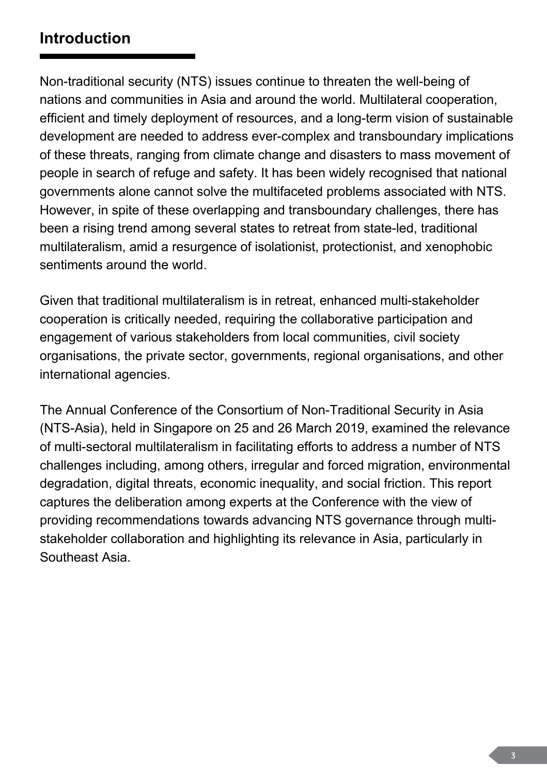### <span id="page-5-0"></span>**Introduction**

Non-traditional security (NTS) issues continue to threaten the well-being of nations and communities in Asia and around the world. Multilateral cooperation, efficient and timely deployment of resources, and a long-term vision of sustainable development are needed to address ever-complex and transboundary implications of these threats, ranging from climate change and disasters to mass movement of people in search of refuge and safety. It has been widely recognised that national governments alone cannot solve the multifaceted problems associated with NTS. However, in spite of these overlapping and transboundary challenges, there has been a rising trend among several states to retreat from state-led, traditional multilateralism, amid a resurgence of isolationist, protectionist, and xenophobic sentiments around the world.

Given that traditional multilateralism is in retreat, enhanced multi-stakeholder cooperation is critically needed, requiring the collaborative participation and engagement of various stakeholders from local communities, civil society organisations, the private sector, governments, regional organisations, and other international agencies.

The Annual Conference of the Consortium of Non-Traditional Security in Asia (NTS-Asia), held in Singapore on 25 and 26 March 2019, examined the relevance of multi-sectoral multilateralism in facilitating efforts to address a number of NTS challenges including, among others, irregular and forced migration, environmental degradation, digital threats, economic inequality, and social friction. This report captures the deliberation among experts at the Conference with the view of providing recommendations towards advancing NTS governance through multistakeholder collaboration and highlighting its relevance in Asia, particularly in Southeast Asia.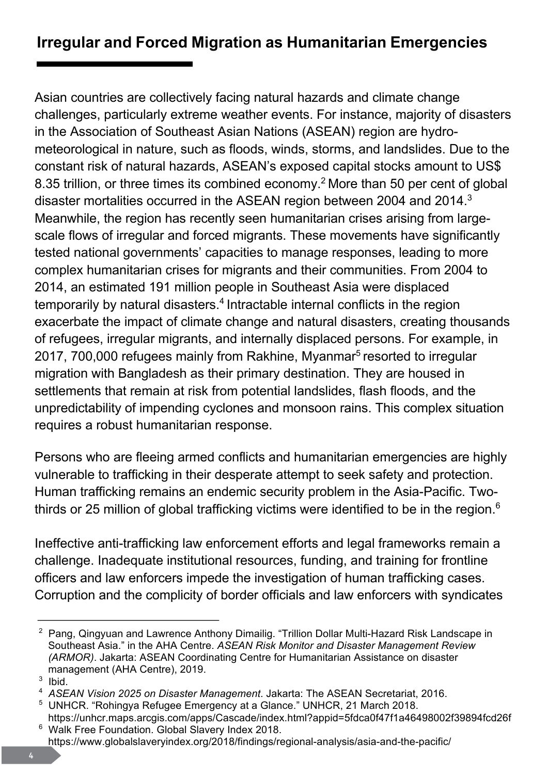## <span id="page-6-0"></span>**Irregular and Forced Migration as Humanitarian Emergencies**

Asian countries are collectively facing natural hazards and climate change challenges, particularly extreme weather events. For instance, majority of disasters in the Association of Southeast Asian Nations (ASEAN) region are hydrometeorological in nature, such as floods, winds, storms, and landslides. Due to the constant risk of natural hazards, ASEAN's exposed capital stocks amount to US\$ 8.35 trillion, or three times its combined economy.<sup>2</sup> More than 50 per cent of global disaster mortalities occurred in the ASEAN region between 2004 and 2014. $3$ Meanwhile, the region has recently seen humanitarian crises arising from largescale flows of irregular and forced migrants. These movements have significantly tested national governments' capacities to manage responses, leading to more complex humanitarian crises for migrants and their communities. From 2004 to 2014, an estimated 191 million people in Southeast Asia were displaced temporarily by natural disasters.<sup>4</sup> Intractable internal conflicts in the region exacerbate the impact of climate change and natural disasters, creating thousands of refugees, irregular migrants, and internally displaced persons. For example, in 2017, 700,000 refugees mainly from Rakhine, Myanmar<sup>5</sup> resorted to irregular migration with Bangladesh as their primary destination. They are housed in settlements that remain at risk from potential landslides, flash floods, and the unpredictability of impending cyclones and monsoon rains. This complex situation requires a robust humanitarian response.

Persons who are fleeing armed conflicts and humanitarian emergencies are highly vulnerable to trafficking in their desperate attempt to seek safety and protection. Human trafficking remains an endemic security problem in the Asia-Pacific. Twothirds or 25 million of global trafficking victims were identified to be in the region.<sup>6</sup>

Ineffective anti-trafficking law enforcement efforts and legal frameworks remain a challenge. Inadequate institutional resources, funding, and training for frontline officers and law enforcers impede the investigation of human trafficking cases. Corruption and the complicity of border officials and law enforcers with syndicates

 $^{\rm 2}$  Pang, Qingyuan and Lawrence Anthony Dimailig. "Trillion Dollar Multi-Hazard Risk Landscape in Southeast Asia." in the AHA Centre. *ASEAN Risk Monitor and Disaster Management Review (ARMOR)*. Jakarta: ASEAN Coordinating Centre for Humanitarian Assistance on disaster management (AHA Centre), 2019.

 $3$  Ibid.<br>4  $A$  SE.

*ASEAN Vision 2025 on Disaster Management*. Jakarta: The ASEAN Secretariat, 2016.

<sup>&</sup>lt;sup>5</sup> UNHCR. "Rohingya Refugee Emergency at a Glance." UNHCR, 21 March 2018.

https://unhcr.maps.arcgis.com/apps/Cascade/index.html?appid=5fdca0f47f1a46498002f39894fcd26f 6 Walk Free Foundation. Global Slavery Index 2018.

https://www.globalslaveryindex.org/2018/findings/regional-analysis/asia-and-the-pacific/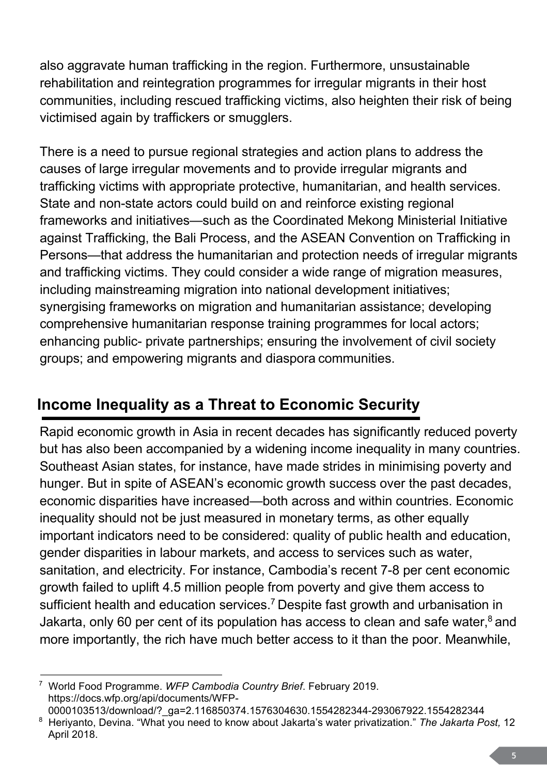<span id="page-7-0"></span>also aggravate human trafficking in the region. Furthermore, unsustainable rehabilitation and reintegration programmes for irregular migrants in their host communities, including rescued trafficking victims, also heighten their risk of being victimised again by traffickers or smugglers.

There is a need to pursue regional strategies and action plans to address the causes of large irregular movements and to provide irregular migrants and trafficking victims with appropriate protective, humanitarian, and health services. State and non-state actors could build on and reinforce existing regional frameworks and initiatives—such as the Coordinated Mekong Ministerial Initiative against Trafficking, the Bali Process, and the ASEAN Convention on Trafficking in Persons—that address the humanitarian and protection needs of irregular migrants and trafficking victims. They could consider a wide range of migration measures, including mainstreaming migration into national development initiatives; synergising frameworks on migration and humanitarian assistance; developing comprehensive humanitarian response training programmes for local actors; enhancing public- private partnerships; ensuring the involvement of civil society groups; and empowering migrants and diasporacommunities.

## **Income Inequality as a Threat to Economic Security**

Rapid economic growth in Asia in recent decades has significantly reduced poverty but has also been accompanied by a widening income inequality in many countries. Southeast Asian states, for instance, have made strides in minimising poverty and hunger. But in spite of ASEAN's economic growth success over the past decades, economic disparities have increased—both across and within countries. Economic inequality should not be just measured in monetary terms, as other equally important indicators need to be considered: quality of public health and education, gender disparities in labour markets, and access to services such as water, sanitation, and electricity. For instance, Cambodia's recent 7-8 per cent economic growth failed to uplift 4.5 million people from poverty and give them access to sufficient health and education services.<sup>7</sup> Despite fast growth and urbanisation in Jakarta, only 60 per cent of its population has access to clean and safe water, $8$  and more importantly, the rich have much better access to it than the poor. Meanwhile,

<sup>7</sup> World Food Programme. *WFP Cambodia Country Brief*. February 2019. https://docs.wfp.org/api/documents/WFP-

<sup>0000103513/</sup>download/?\_ga=2.116850374.1576304630.1554282344-293067922.1554282344 8 Heriyanto, Devina. "What you need to know about Jakarta's water privatization." *The Jakarta Post,* 12 April 2018.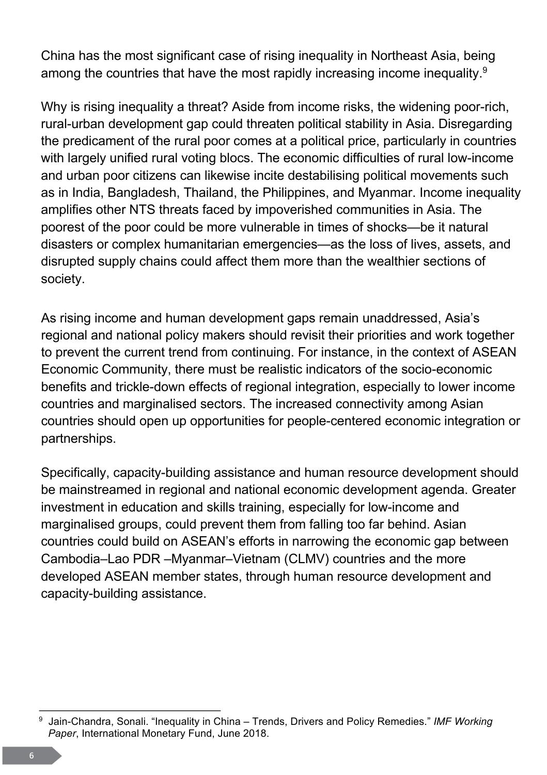<span id="page-8-0"></span>China has the most significant case of rising inequality in Northeast Asia, being among the countries that have the most rapidly increasing income inequality.<sup>9</sup>

Why is rising inequality a threat? Aside from income risks, the widening poor-rich, rural-urban development gap could threaten political stability in Asia. Disregarding the predicament of the rural poor comes at a political price, particularly in countries with largely unified rural voting blocs. The economic difficulties of rural low-income and urban poor citizens can likewise incite destabilising political movements such as in India, Bangladesh, Thailand, the Philippines, and Myanmar. Income inequality amplifies other NTS threats faced by impoverished communities in Asia. The poorest of the poor could be more vulnerable in times of shocks—be it natural disasters or complex humanitarian emergencies—as the loss of lives, assets, and disrupted supply chains could affect them more than the wealthier sections of society.

As rising income and human development gaps remain unaddressed, Asia's regional and national policy makers should revisit their priorities and work together to prevent the current trend from continuing. For instance, in the context of ASEAN Economic Community, there must be realistic indicators of the socio-economic benefits and trickle-down effects of regional integration, especially to lower income countries and marginalised sectors. The increased connectivity among Asian countries should open up opportunities for people-centered economic integration or partnerships.

Specifically, capacity-building assistance and human resource development should be mainstreamed in regional and national economic development agenda. Greater investment in education and skills training, especially for low-income and marginalised groups, could prevent them from falling too far behind. Asian countries could build on ASEAN's efforts in narrowing the economic gap between Cambodia–Lao PDR –Myanmar–Vietnam (CLMV) countries and the more developed ASEAN member states, through human resource development and capacity-building assistance.

<sup>9</sup> Jain-Chandra, Sonali. "Inequality in China – Trends, Drivers and Policy Remedies." *IMF Working Paper*, International Monetary Fund, June 2018.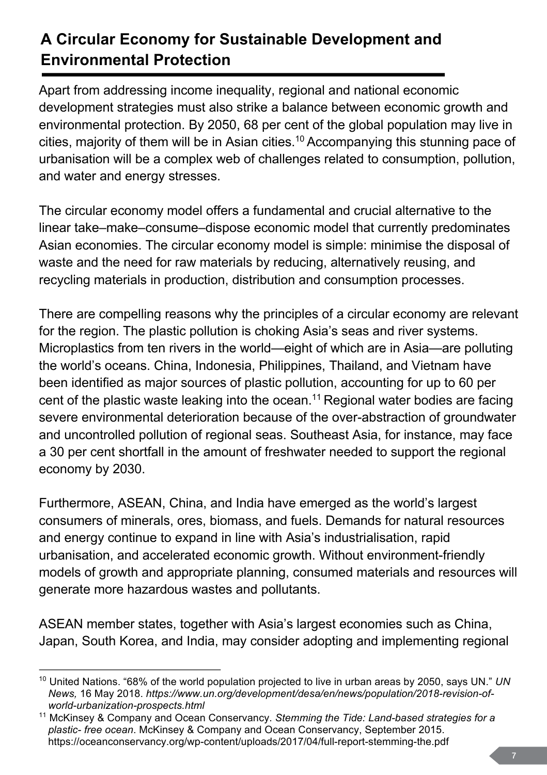## **A Circular Economy for Sustainable Development and Environmental Protection**

Apart from addressing income inequality, regional and national economic development strategies must also strike a balance between economic growth and environmental protection. By 2050, 68 per cent of the global population may live in cities, majority of them will be in Asian cities.<sup>10</sup> Accompanying this stunning pace of urbanisation will be a complex web of challenges related to consumption, pollution, and water and energy stresses.

The circular economy model offers a fundamental and crucial alternative to the linear take–make–consume–dispose economic model that currently predominates Asian economies. The circular economy model is simple: minimise the disposal of waste and the need for raw materials by reducing, alternatively reusing, and recycling materials in production, distribution and consumption processes.

There are compelling reasons why the principles of a circular economy are relevant for the region. The plastic pollution is choking Asia's seas and river systems. Microplastics from ten rivers in the world—eight of which are in Asia—are polluting the world's oceans. China, Indonesia, Philippines, Thailand, and Vietnam have been identified as major sources of plastic pollution, accounting for up to 60 per cent of the plastic waste leaking into the ocean.<sup>11</sup> Regional water bodies are facing severe environmental deterioration because of the over-abstraction of groundwater and uncontrolled pollution of regional seas. Southeast Asia, for instance, may face a 30 per cent shortfall in the amount of freshwater needed to support the regional economy by 2030.

Furthermore, ASEAN, China, and India have emerged as the world's largest consumers of minerals, ores, biomass, and fuels. Demands for natural resources and energy continue to expand in line with Asia's industrialisation, rapid urbanisation, and accelerated economic growth. Without environment-friendly models of growth and appropriate planning, consumed materials and resources will generate more hazardous wastes and pollutants.

ASEAN member states, together with Asia's largest economies such as China, Japan, South Korea, and India, may consider adopting and implementing regional

<sup>10</sup> United Nations. "68% of the world population projected to live in urban areas by 2050, says UN." *UN News,* 16 May 2018. *https://www.un.org/development/desa/en/news/population/2018-revision-ofworld-urbanization-prospects.html*

<sup>11</sup> McKinsey & Company and Ocean Conservancy. *Stemming the Tide: Land-based strategies for a plastic- free ocean*. McKinsey & Company and Ocean Conservancy, September 2015. https://oceanconservancy.org/wp-content/uploads/2017/04/full-report-stemming-the.pdf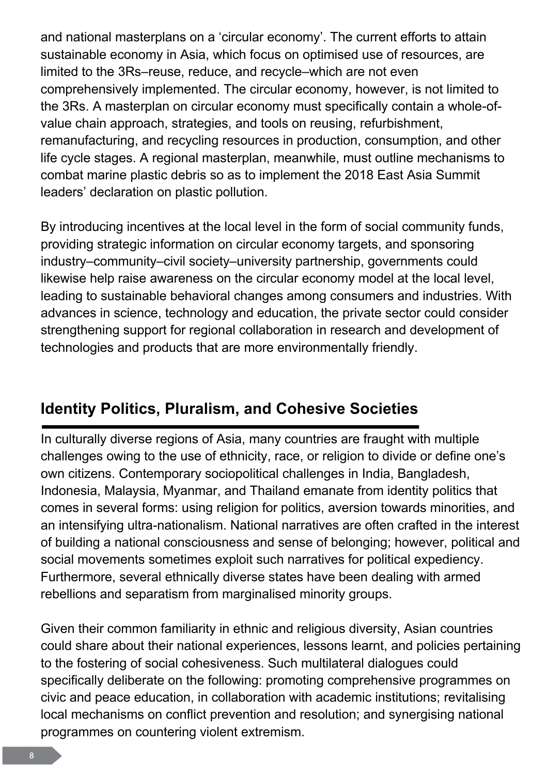<span id="page-10-0"></span>and national masterplans on a 'circular economy'. The current efforts to attain sustainable economy in Asia, which focus on optimised use of resources, are limited to the 3Rs–reuse, reduce, and recycle–which are not even comprehensively implemented. The circular economy, however, is not limited to the 3Rs. A masterplan on circular economy must specifically contain a whole-ofvalue chain approach, strategies, and tools on reusing, refurbishment, remanufacturing, and recycling resources in production, consumption, and other life cycle stages. A regional masterplan, meanwhile, must outline mechanisms to combat marine plastic debris so as to implement the 2018 East Asia Summit leaders' declaration on plastic pollution.

By introducing incentives at the local level in the form of social community funds, providing strategic information on circular economy targets, and sponsoring industry–community–civil society–university partnership, governments could likewise help raise awareness on the circular economy model at the local level, leading to sustainable behavioral changes among consumers and industries. With advances in science, technology and education, the private sector could consider strengthening support for regional collaboration in research and development of technologies and products that are more environmentally friendly.

## **Identity Politics, Pluralism, and Cohesive Societies**

In culturally diverse regions of Asia, many countries are fraught with multiple challenges owing to the use of ethnicity, race, or religion to divide or define one's own citizens. Contemporary sociopolitical challenges in India, Bangladesh, Indonesia, Malaysia, Myanmar, and Thailand emanate from identity politics that comes in several forms: using religion for politics, aversion towards minorities, and an intensifying ultra-nationalism. National narratives are often crafted in the interest of building a national consciousness and sense of belonging; however, political and social movements sometimes exploit such narratives for political expediency. Furthermore, several ethnically diverse states have been dealing with armed rebellions and separatism from marginalised minority groups.

Given their common familiarity in ethnic and religious diversity, Asian countries could share about their national experiences, lessons learnt, and policies pertaining to the fostering of social cohesiveness. Such multilateral dialogues could specifically deliberate on the following: promoting comprehensive programmes on civic and peace education, in collaboration with academic institutions; revitalising local mechanisms on conflict prevention and resolution; and synergising national programmes on countering violent extremism.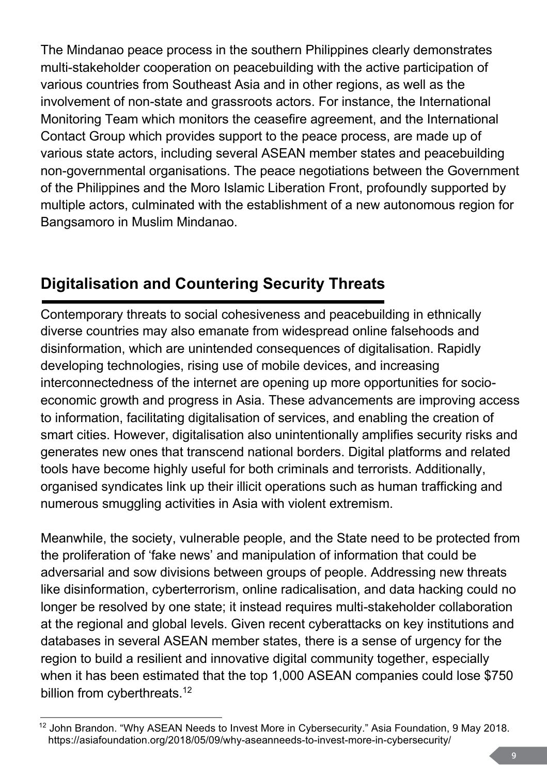<span id="page-11-0"></span>The Mindanao peace process in the southern Philippines clearly demonstrates multi-stakeholder cooperation on peacebuilding with the active participation of various countries from Southeast Asia and in other regions, as well as the involvement of non-state and grassroots actors. For instance, the International Monitoring Team which monitors the ceasefire agreement, and the International Contact Group which provides support to the peace process, are made up of various state actors, including several ASEAN member states and peacebuilding non-governmental organisations. The peace negotiations between the Government of the Philippines and the Moro Islamic Liberation Front, profoundly supported by multiple actors, culminated with the establishment of a new autonomous region for Bangsamoro in Muslim Mindanao.

## Digitalisation and Countering Security Threats

Contemporary threats to social cohesiveness and peacebuilding in ethnically diverse countries may also emanate from widespread online falsehoods and disinformation, which are unintended consequences of digitalisation. Rapidly developing technologies, rising use of mobile devices, and increasing interconnectedness of the internet are opening up more opportunities for socioeconomic growth and progress in Asia. These advancements are improving access to information, facilitating digitalisation of services, and enabling the creation of smart cities. However, digitalisation also unintentionally amplifies security risks and generates new ones that transcend national borders. Digital platforms and related tools have become highly useful for both criminals and terrorists. Additionally, organised syndicates link up their illicit operations such as human trafficking and numerous smuggling activities in Asia with violent extremism.

Meanwhile, the society, vulnerable people, and the State need to be protected from the proliferation of 'fake news' and manipulation of information that could be adversarial and sow divisions between groups of people. Addressing new threats like disinformation, cyberterrorism, online radicalisation, and data hacking could no longer be resolved by one state; it instead requires multi-stakeholder collaboration at the regional and global levels. Given recent cyberattacks on key institutions and databases in several ASEAN member states, there is a sense of urgency for the region to build a resilient and innovative digital community together, especially when it has been estimated that the top 1,000 ASEAN companies could lose \$750 billion from cyberthreats.<sup>12</sup>

<sup>&</sup>lt;sup>12</sup> John Brandon. "Why ASEAN Needs to Invest More in Cybersecurity." Asia Foundation, 9 May 2018. https://asiafoundation.org/2018/05/09/why-aseanneeds-to-invest-more-in-cybersecurity/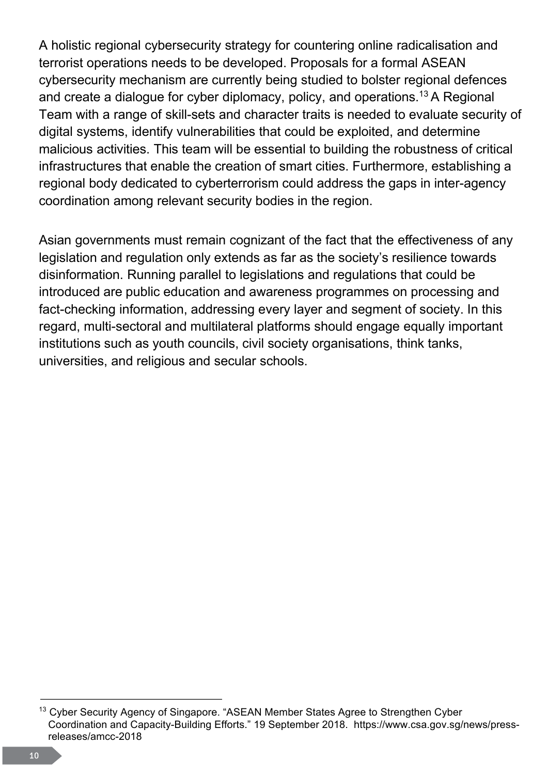<span id="page-12-0"></span>A holistic regional cybersecurity strategy for countering online radicalisation and terrorist operations needs to be developed. Proposals for a formal ASEAN cybersecurity mechanism are currently being studied to bolster regional defences and create a dialogue for cyber diplomacy, policy, and operations.<sup>13</sup> A Regional Team with a range of skill-sets and character traits is needed to evaluate security of digital systems, identify vulnerabilities that could be exploited, and determine malicious activities. This team will be essential to building the robustness of critical infrastructures that enable the creation of smart cities. Furthermore, establishing a regional body dedicated to cyberterrorism could address the gaps in inter-agency coordination among relevant security bodies in the region.

Asian governments must remain cognizant of the fact that the effectiveness of any legislation and regulation only extends as far as the society's resilience towards disinformation. Running parallel to legislations and regulations that could be introduced are public education and awareness programmes on processing and fact-checking information, addressing every layer and segment of society. In this regard, multi-sectoral and multilateral platforms should engage equally important institutions such as youth councils, civil society organisations, think tanks, universities, and religious and secular schools.

<sup>&</sup>lt;sup>13</sup> Cyber Security Agency of Singapore. "ASEAN Member States Agree to Strengthen Cyber Coordination and Capacity-Building Efforts." 19 September 2018. https://www.csa.gov.sg/news/pressreleases/amcc-2018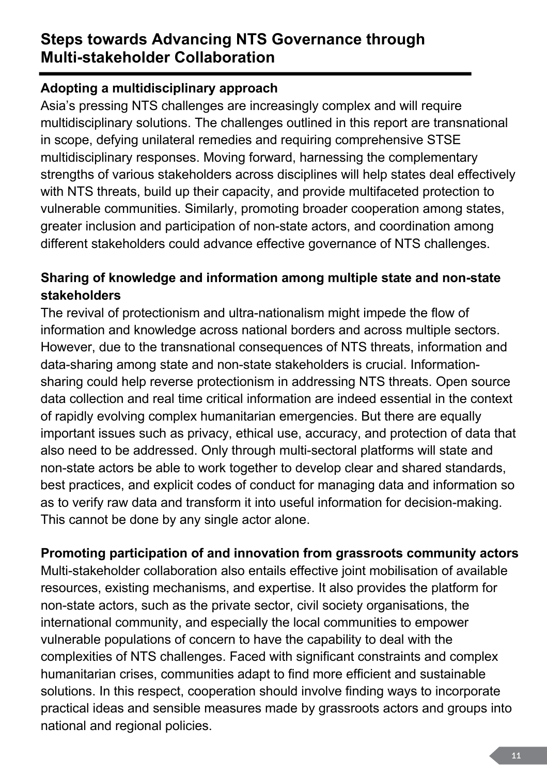#### <span id="page-13-0"></span>**Steps towards Advancing NTS Governance through Multi-stakeholder Collaboration**

#### **Adopting a multidisciplinary approach**

Asia's pressing NTS challenges are increasingly complex and will require multidisciplinary solutions. The challenges outlined in this report are transnational in scope, defying unilateral remedies and requiring comprehensive STSE multidisciplinary responses. Moving forward, harnessing the complementary strengths of various stakeholders across disciplines will help states deal effectively with NTS threats, build up their capacity, and provide multifaceted protection to vulnerable communities. Similarly, promoting broader cooperation among states, greater inclusion and participation of non-state actors, and coordination among different stakeholders could advance effective governance of NTS challenges.

#### **Sharing of knowledge and information among multiple state and non-state stakeholders**

The revival of protectionism and ultra-nationalism might impede the flow of information and knowledge across national borders and across multiple sectors. However, due to the transnational consequences of NTS threats, information and data-sharing among state and non-state stakeholders is crucial. Informationsharing could help reverse protectionism in addressing NTS threats. Open source data collection and real time critical information are indeed essential in the context of rapidly evolving complex humanitarian emergencies. But there are equally important issues such as privacy, ethical use, accuracy, and protection of data that also need to be addressed. Only through multi-sectoral platforms will state and non-state actors be able to work together to develop clear and shared standards, best practices, and explicit codes of conduct for managing data and information so as to verify raw data and transform it into useful information for decision-making. This cannot be done by any single actor alone.

#### **Promoting participation of and innovation from grassroots community actors**

Multi-stakeholder collaboration also entails effective joint mobilisation of available resources, existing mechanisms, and expertise. It also provides the platform for non-state actors, such as the private sector, civil society organisations, the international community, and especially the local communities to empower vulnerable populations of concern to have the capability to deal with the complexities of NTS challenges. Faced with significant constraints and complex humanitarian crises, communities adapt to find more efficient and sustainable solutions. In this respect, cooperation should involve finding ways to incorporate practical ideas and sensible measures made by grassroots actors and groups into national and regional policies.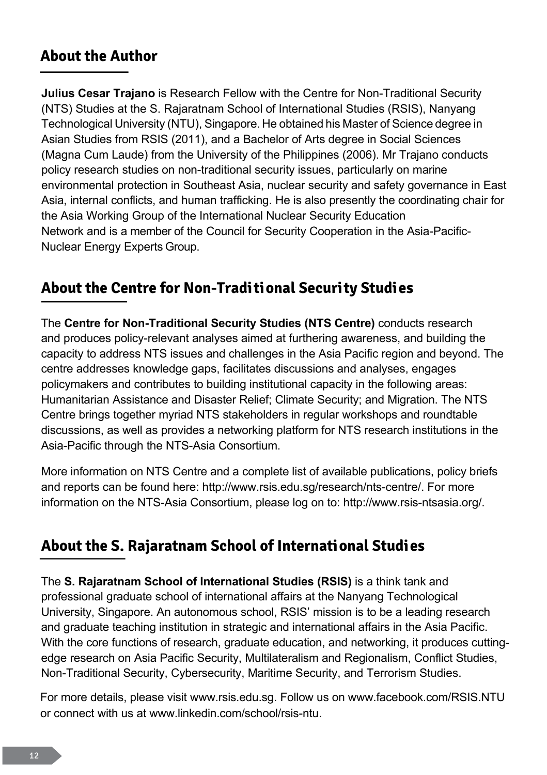#### <span id="page-14-0"></span>**About the Author**

**Julius Cesar Trajano** is Research Fellow with the Centre for Non-Traditional Security (NTS) Studies at the S. Rajaratnam School of International Studies (RSIS), Nanyang Technological University (NTU), Singapore. He obtained his Master of Science degree in Asian Studies from RSIS (2011), and a Bachelor of Arts degree in Social Sciences (Magna Cum Laude) from the University of the Philippines (2006). Mr Trajano conducts policy research studies on non-traditional security issues, particularly on marine environmental protection in Southeast Asia, nuclear security and safety governance in East Asia, internal conflicts, and human trafficking. He is also presently the coordinating chair for the Asia Working Group of the International Nuclear Security Education Network and is a member of the Council for Security Cooperation in the Asia-Pacific-Nuclear Energy Experts Group.

#### **About the Centre for Non-Traditional Security Studies**

The **Centre for Non-Traditional Security Studies (NTS Centre)** conducts research and produces policy-relevant analyses aimed at furthering awareness, and building the capacity to address NTS issues and challenges in the Asia Pacific region and beyond. The centre addresses knowledge gaps, facilitates discussions and analyses, engages policymakers and contributes to building institutional capacity in the following areas: Humanitarian Assistance and Disaster Relief; Climate Security; and Migration. The NTS Centre brings together myriad NTS stakeholders in regular workshops and roundtable discussions, as well as provides a networking platform for NTS research institutions in the Asia-Pacific through the NTS-Asia Consortium.

More information on NTS Centre and a complete list of available publications, policy briefs and reports can be found here: [http://www.rsis.edu.sg/research/nts-centre/.](http://www.rsis.edu.sg/research/nts-centre/) For more information on the NTS-Asia Consortium, please log on to: [http://www.rsis-ntsasia.org/.](http://www.rsis-ntsasia.org/)

#### **About the S. Rajaratnam School of International Studies**

The **S. Rajaratnam School of International Studies (RSIS)** is a think tank and professional graduate school of international affairs at the Nanyang Technological University, Singapore. An autonomous school, RSIS' mission is to be a leading research and graduate teaching institution in strategic and international affairs in the Asia Pacific. With the core functions of research, graduate education, and networking, it produces cuttingedge research on Asia Pacific Security, Multilateralism and Regionalism, Conflict Studies, Non-Traditional Security, Cybersecurity, Maritime Security, and Terrorism Studies.

For more details, please visit [www.rsis.edu.sg.](www.rsis.edu.sg) Follow us on <www.facebook.com/RSIS.NTU> or connect with us at [www.linkedin.com/school/rsis-ntu.](www.linkedin.com/school/rsis-ntu)